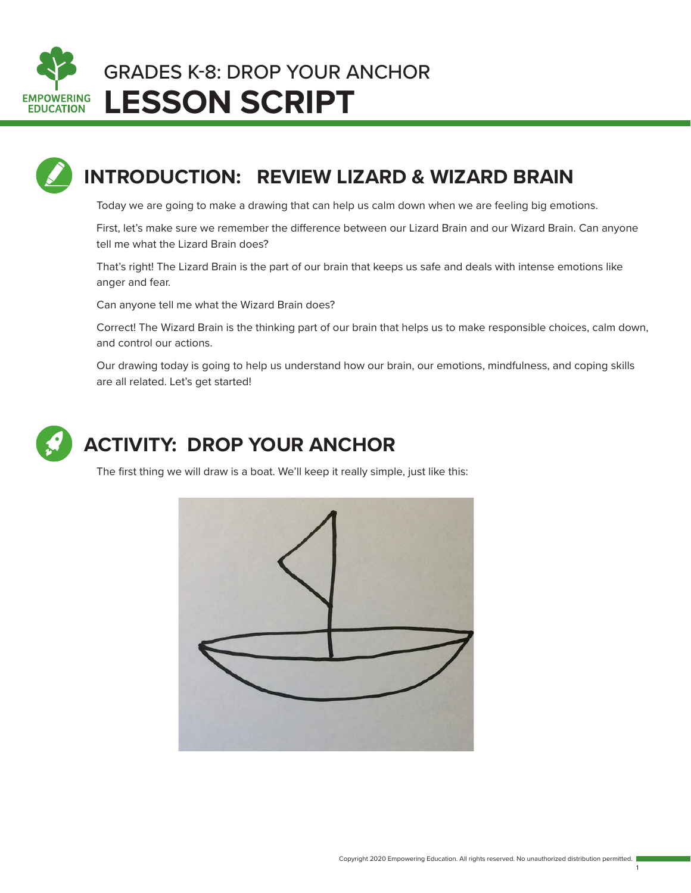



## **INTRODUCTION: REVIEW LIZARD & WIZARD BRAIN**

Today we are going to make a drawing that can help us calm down when we are feeling big emotions.

First, let's make sure we remember the difference between our Lizard Brain and our Wizard Brain. Can anyone tell me what the Lizard Brain does?

That's right! The Lizard Brain is the part of our brain that keeps us safe and deals with intense emotions like anger and fear.

Can anyone tell me what the Wizard Brain does?

Correct! The Wizard Brain is the thinking part of our brain that helps us to make responsible choices, calm down, and control our actions.

Our drawing today is going to help us understand how our brain, our emotions, mindfulness, and coping skills are all related. Let's get started!



## **ACTIVITY: DROP YOUR ANCHOR**

The first thing we will draw is a boat. We'll keep it really simple, just like this:



1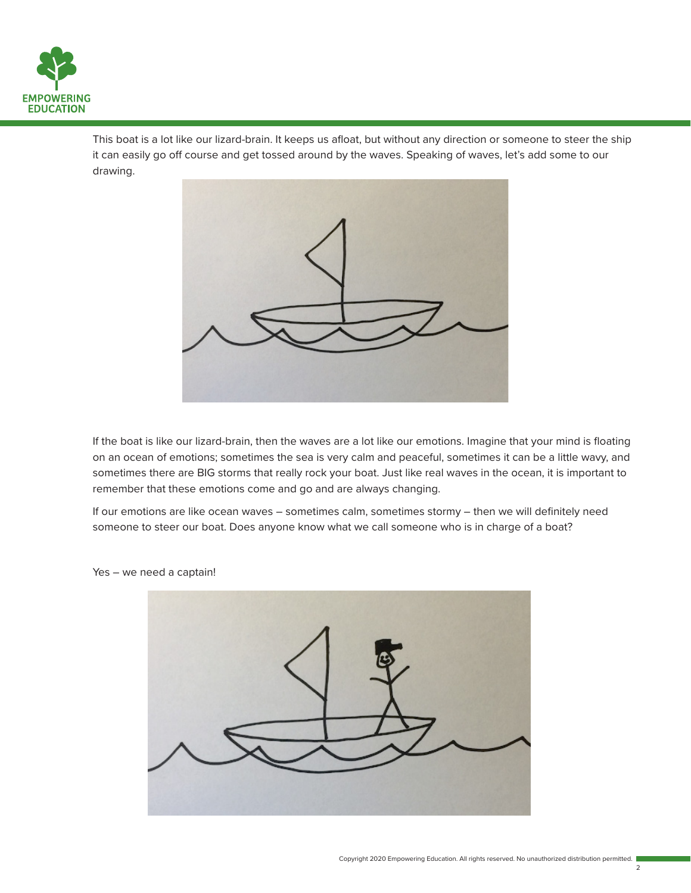

This boat is a lot like our lizard-brain. It keeps us afloat, but without any direction or someone to steer the ship it can easily go off course and get tossed around by the waves. Speaking of waves, let's add some to our drawing.



If the boat is like our lizard-brain, then the waves are a lot like our emotions. Imagine that your mind is floating on an ocean of emotions; sometimes the sea is very calm and peaceful, sometimes it can be a little wavy, and sometimes there are BIG storms that really rock your boat. Just like real waves in the ocean, it is important to remember that these emotions come and go and are always changing.

If our emotions are like ocean waves – sometimes calm, sometimes stormy – then we will definitely need someone to steer our boat. Does anyone know what we call someone who is in charge of a boat?



Yes – we need a captain!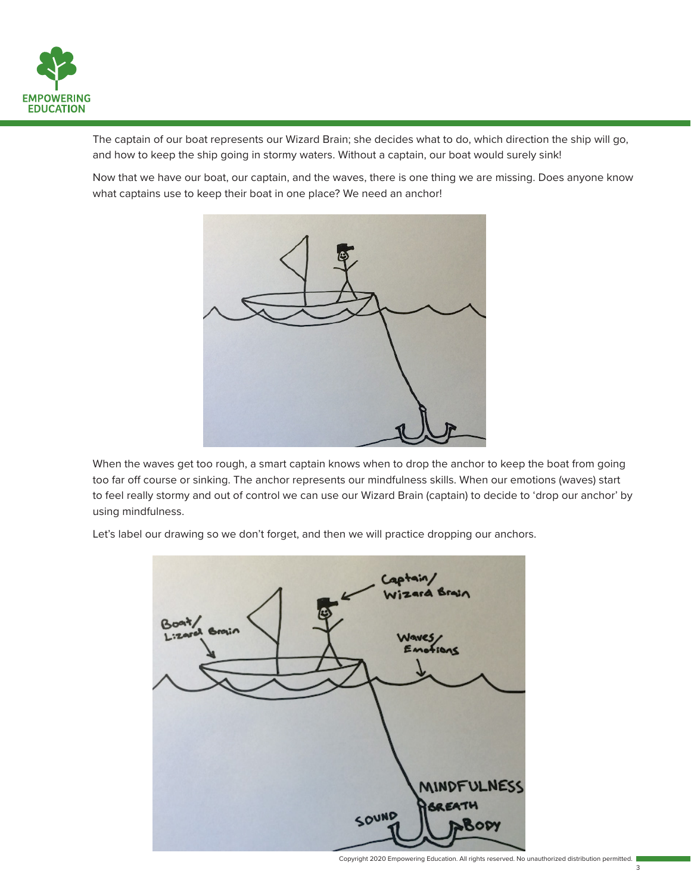

The captain of our boat represents our Wizard Brain; she decides what to do, which direction the ship will go, and how to keep the ship going in stormy waters. Without a captain, our boat would surely sink!

Now that we have our boat, our captain, and the waves, there is one thing we are missing. Does anyone know what captains use to keep their boat in one place? We need an anchor!



When the waves get too rough, a smart captain knows when to drop the anchor to keep the boat from going too far off course or sinking. The anchor represents our mindfulness skills. When our emotions (waves) start to feel really stormy and out of control we can use our Wizard Brain (captain) to decide to 'drop our anchor' by using mindfulness.

Let's label our drawing so we don't forget, and then we will practice dropping our anchors.

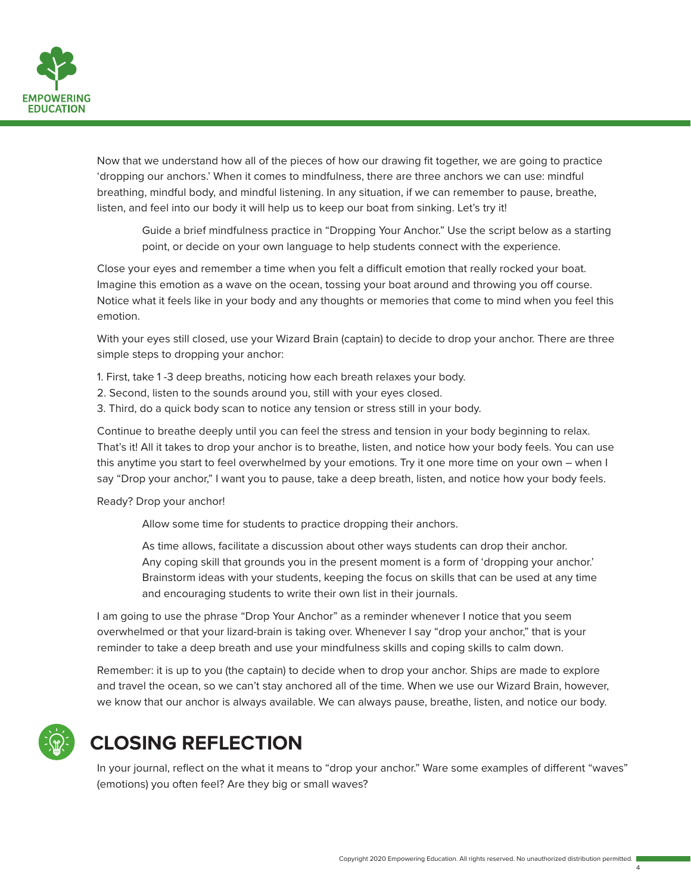

Now that we understand how all of the pieces of how our drawing fit together, we are going to practice 'dropping our anchors.' When it comes to mindfulness, there are three anchors we can use: mindful breathing, mindful body, and mindful listening. In any situation, if we can remember to pause, breathe, listen, and feel into our body it will help us to keep our boat from sinking. Let's try it!

 Guide a brief mindfulness practice in "Dropping Your Anchor." Use the script below as a starting point, or decide on your own language to help students connect with the experience.

Close your eyes and remember a time when you felt a difficult emotion that really rocked your boat. Imagine this emotion as a wave on the ocean, tossing your boat around and throwing you off course. Notice what it feels like in your body and any thoughts or memories that come to mind when you feel this emotion.

With your eyes still closed, use your Wizard Brain (captain) to decide to drop your anchor. There are three simple steps to dropping your anchor:

1. First, take 1 -3 deep breaths, noticing how each breath relaxes your body.

- 2. Second, listen to the sounds around you, still with your eyes closed.
- 3. Third, do a quick body scan to notice any tension or stress still in your body.

Continue to breathe deeply until you can feel the stress and tension in your body beginning to relax. That's it! All it takes to drop your anchor is to breathe, listen, and notice how your body feels. You can use this anytime you start to feel overwhelmed by your emotions. Try it one more time on your own – when I say "Drop your anchor," I want you to pause, take a deep breath, listen, and notice how your body feels.

Ready? Drop your anchor!

Allow some time for students to practice dropping their anchors.

 As time allows, facilitate a discussion about other ways students can drop their anchor. Any coping skill that grounds you in the present moment is a form of 'dropping your anchor.' Brainstorm ideas with your students, keeping the focus on skills that can be used at any time and encouraging students to write their own list in their journals.

I am going to use the phrase "Drop Your Anchor" as a reminder whenever I notice that you seem overwhelmed or that your lizard-brain is taking over. Whenever I say "drop your anchor," that is your reminder to take a deep breath and use your mindfulness skills and coping skills to calm down.

Remember: it is up to you (the captain) to decide when to drop your anchor. Ships are made to explore and travel the ocean, so we can't stay anchored all of the time. When we use our Wizard Brain, however, we know that our anchor is always available. We can always pause, breathe, listen, and notice our body.

## **CLOSING REFLECTION**

In your journal, reflect on the what it means to "drop your anchor." Ware some examples of different "waves" (emotions) you often feel? Are they big or small waves?